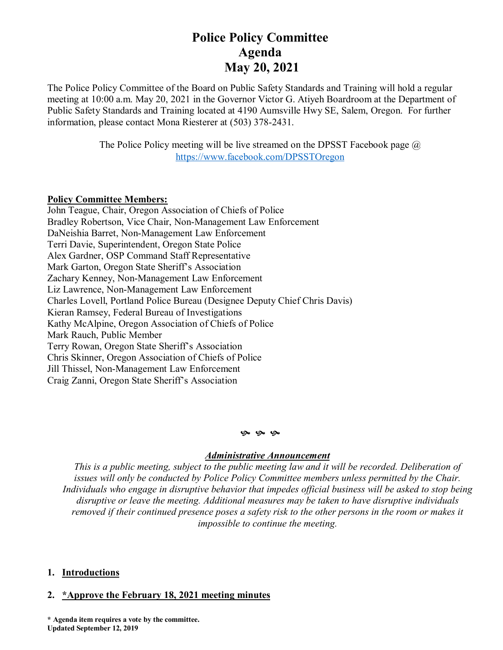# **Police Policy Committee Agenda May 20, 2021**

The Police Policy Committee of the Board on Public Safety Standards and Training will hold a regular meeting at 10:00 a.m. May 20, 2021 in the Governor Victor G. Atiyeh Boardroom at the Department of Public Safety Standards and Training located at 4190 Aumsville Hwy SE, Salem, Oregon. For further information, please contact Mona Riesterer at (503) 378-2431.

> The Police Policy meeting will be live streamed on the DPSST Facebook page  $\omega$ <https://www.facebook.com/DPSSTOregon>

## **Policy Committee Members:**

John Teague, Chair, Oregon Association of Chiefs of Police Bradley Robertson, Vice Chair, Non-Management Law Enforcement DaNeishia Barret, Non-Management Law Enforcement Terri Davie, Superintendent, Oregon State Police Alex Gardner, OSP Command Staff Representative Mark Garton, Oregon State Sheriff's Association Zachary Kenney, Non-Management Law Enforcement Liz Lawrence, Non-Management Law Enforcement Charles Lovell, Portland Police Bureau (Designee Deputy Chief Chris Davis) Kieran Ramsey, Federal Bureau of Investigations Kathy McAlpine, Oregon Association of Chiefs of Police Mark Rauch, Public Member Terry Rowan, Oregon State Sheriff's Association Chris Skinner, Oregon Association of Chiefs of Police Jill Thissel, Non-Management Law Enforcement Craig Zanni, Oregon State Sheriff's Association

### **G** G G

## *Administrative Announcement*

*This is a public meeting, subject to the public meeting law and it will be recorded. Deliberation of issues will only be conducted by Police Policy Committee members unless permitted by the Chair. Individuals who engage in disruptive behavior that impedes official business will be asked to stop being disruptive or leave the meeting. Additional measures may be taken to have disruptive individuals removed if their continued presence poses a safety risk to the other persons in the room or makes it impossible to continue the meeting.*

## **1. Introductions**

## **2. \*Approve the February 18, 2021 meeting minutes**